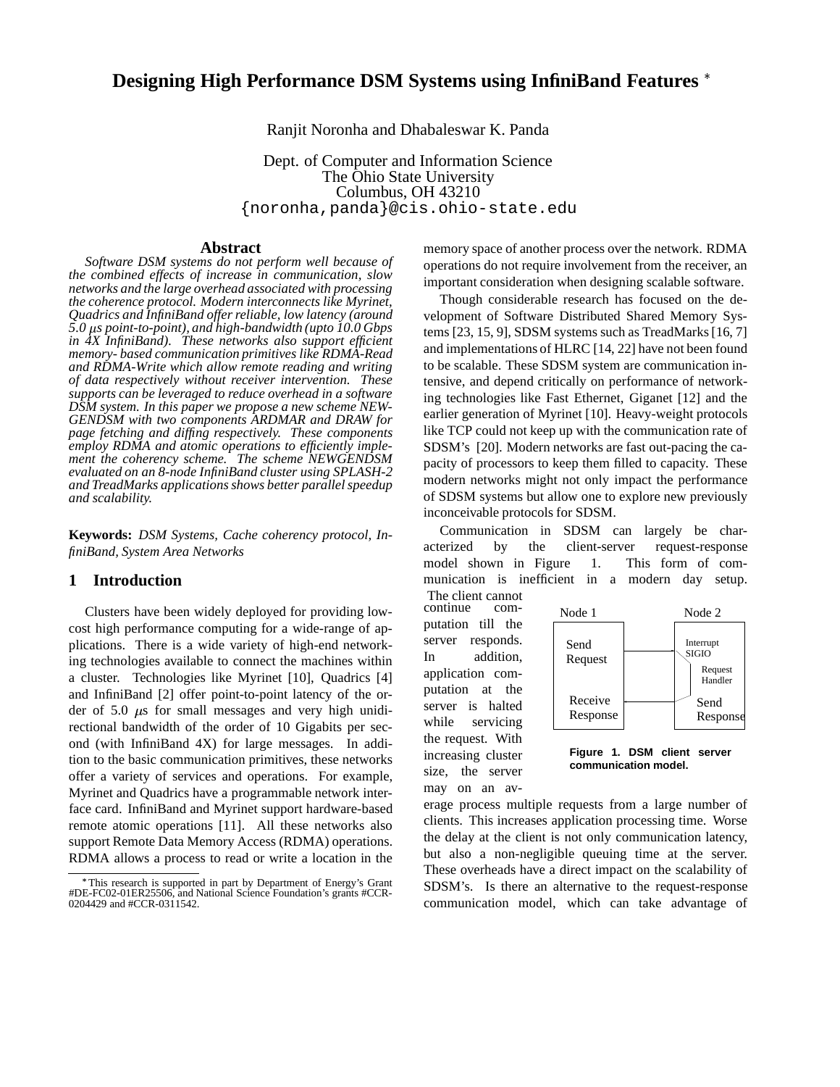# **Designing High Performance DSM Systems using InfiniBand Features**

Ranjit Noronha and Dhabaleswar K. Panda

Dept. of Computer and Information Science The Ohio State University Columbus, OH 43210 {noronha,panda}@cis.ohio-state.edu

### **Abstract**

*Software DSM systems do not perform well because of the combined effects of increase in communication, slow networks and the large overhead associated with processing the coherence protocol. Modern interconnects like Myrinet, Quadrics and InfiniBand offer reliable, low latency (around 5.0 s point-to-point), and high-bandwidth (upto 10.0 Gbps in 4X InfiniBand). These networks also support efficient memory- based communication primitives like RDMA-Read and RDMA-Write which allow remote reading and writing of data respectively without receiver intervention. These supports can be leveraged to reduce overhead in a software DSM system. In this paper we propose a new scheme NEW-GENDSM with two components ARDMAR and DRAW for page fetching and diffing respectively. These components employ RDMA and atomic operations to efficiently implement the coherency scheme. The scheme NEWGENDSM evaluated on an 8-node InfiniBand cluster using SPLASH-2 and TreadMarks applicationsshows better parallelspeedup and scalability.*

**Keywords:** *DSM Systems, Cache coherency protocol, InfiniBand, System Area Networks*

# **1 Introduction**

Clusters have been widely deployed for providing lowcost high performance computing for a wide-range of applications. There is a wide variety of high-end networking technologies available to connect the machines within a cluster. Technologies like Myrinet [10], Quadrics [4] and InfiniBand [2] offer point-to-point latency of the order of 5.0  $\mu$ s for small messages and very high unidirectional bandwidth of the order of 10 Gigabits per second (with InfiniBand 4X) for large messages. In addition to the basic communication primitives, these networks offer a variety of services and operations. For example, Myrinet and Quadrics have a programmable network interface card. InfiniBand and Myrinet support hardware-based remote atomic operations [11]. All these networks also support Remote Data Memory Access (RDMA) operations. RDMA allows a process to read or write a location in the memory space of another process over the network. RDMA operations do not require involvement from the receiver, an important consideration when designing scalable software.

Though considerable research has focused on the development of Software Distributed Shared Memory Systems [23, 15, 9], SDSM systems such as TreadMarks[16, 7] and implementations of HLRC [14, 22] have not been found to be scalable. These SDSM system are communication intensive, and depend critically on performance of networking technologies like Fast Ethernet, Giganet [12] and the earlier generation of Myrinet [10]. Heavy-weight protocols like TCP could not keep up with the communication rate of SDSM's [20]. Modern networks are fast out-pacing the capacity of processors to keep them filled to capacity. These modern networks might not only impact the performance of SDSM systems but allow one to explore new previously inconceivable protocols for SDSM.

Communication in SDSM can largely be characterized by the client-server request-response model shown in Figure 1. This form of communication is inefficient in a modern day setup.

The client cannot<br>continue comcontinue putation till the server responds. In addition, application computation at the server is halted while servicing the request. With increasing cluster size, the server

may on an av-



**Figure 1. DSM client server communication model.**

erage process multiple requests from a large number of clients. This increases application processing time. Worse the delay at the client is not only communication latency, but also a non-negligible queuing time at the server. These overheads have a direct impact on the scalability of SDSM's. Is there an alternative to the request-response communication model, which can take advantage of

<sup>-</sup> This research is supported in part by Department of Energy's Grant #DE-FC02-01ER25506, and National Science Foundation's grants #CCR-0204429 and #CCR-0311542.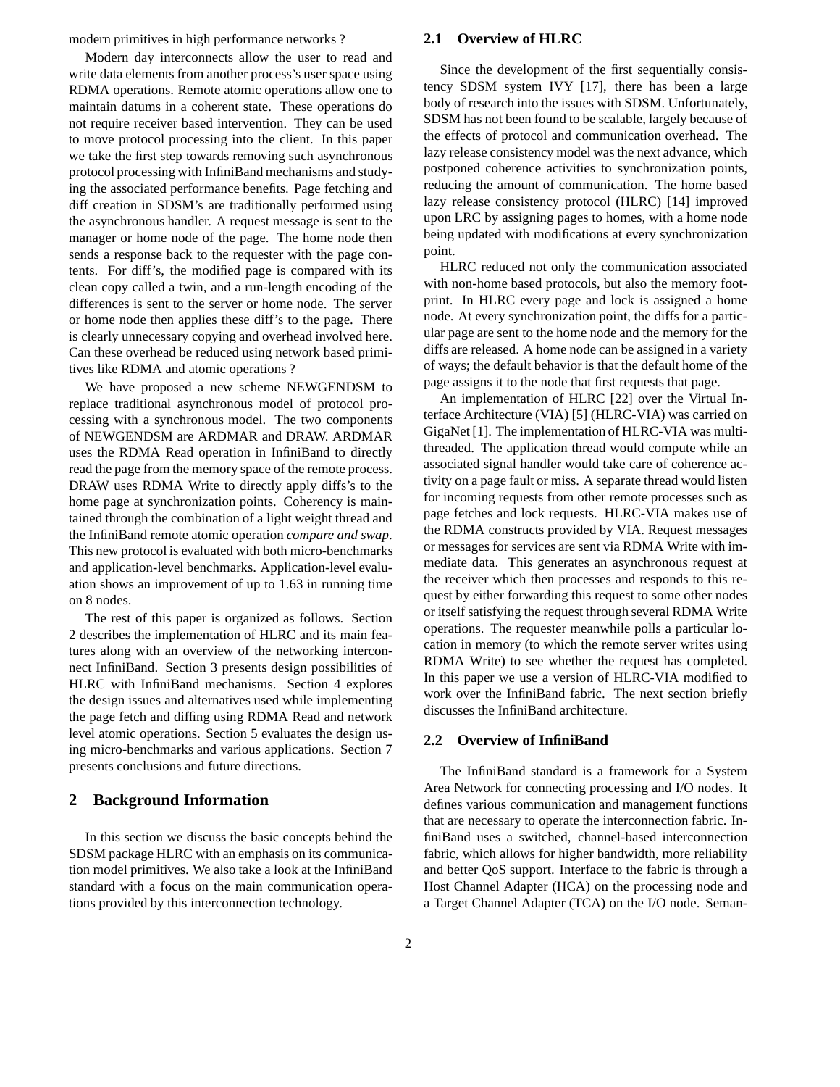modern primitives in high performance networks ?

Modern day interconnects allow the user to read and write data elements from another process's user space using RDMA operations. Remote atomic operations allow one to maintain datums in a coherent state. These operations do not require receiver based intervention. They can be used to move protocol processing into the client. In this paper we take the first step towards removing such asynchronous protocol processing with InfiniBand mechanisms and studying the associated performance benefits. Page fetching and diff creation in SDSM's are traditionally performed using the asynchronous handler. A request message is sent to the manager or home node of the page. The home node then sends a response back to the requester with the page contents. For diff's, the modified page is compared with its clean copy called a twin, and a run-length encoding of the differences is sent to the server or home node. The server or home node then applies these diff's to the page. There is clearly unnecessary copying and overhead involved here. Can these overhead be reduced using network based primitives like RDMA and atomic operations ?

We have proposed a new scheme NEWGENDSM to replace traditional asynchronous model of protocol processing with a synchronous model. The two components of NEWGENDSM are ARDMAR and DRAW. ARDMAR uses the RDMA Read operation in InfiniBand to directly read the page from the memory space of the remote process. DRAW uses RDMA Write to directly apply diffs's to the home page at synchronization points. Coherency is maintained through the combination of a light weight thread and the InfiniBand remote atomic operation *compare and swap*. This new protocol is evaluated with both micro-benchmarks and application-level benchmarks. Application-level evaluation shows an improvement of up to 1.63 in running time on 8 nodes.

The rest of this paper is organized as follows. Section 2 describes the implementation of HLRC and its main features along with an overview of the networking interconnect InfiniBand. Section 3 presents design possibilities of HLRC with InfiniBand mechanisms. Section 4 explores the design issues and alternatives used while implementing the page fetch and diffing using RDMA Read and network level atomic operations. Section 5 evaluates the design using micro-benchmarks and various applications. Section 7 presents conclusions and future directions.

# **2 Background Information**

In this section we discuss the basic concepts behind the SDSM package HLRC with an emphasis on its communication model primitives. We also take a look at the InfiniBand standard with a focus on the main communication operations provided by this interconnection technology.

### **2.1 Overview of HLRC**

Since the development of the first sequentially consistency SDSM system IVY [17], there has been a large body of research into the issues with SDSM. Unfortunately, SDSM has not been found to be scalable, largely because of the effects of protocol and communication overhead. The lazy release consistency model was the next advance, which postponed coherence activities to synchronization points, reducing the amount of communication. The home based lazy release consistency protocol (HLRC) [14] improved upon LRC by assigning pages to homes, with a home node being updated with modifications at every synchronization point.

HLRC reduced not only the communication associated with non-home based protocols, but also the memory footprint. In HLRC every page and lock is assigned a home node. At every synchronization point, the diffs for a particular page are sent to the home node and the memory for the diffs are released. A home node can be assigned in a variety of ways; the default behavior is that the default home of the page assigns it to the node that first requests that page.

An implementation of HLRC [22] over the Virtual Interface Architecture (VIA) [5] (HLRC-VIA) was carried on GigaNet [1]. The implementation of HLRC-VIA was multithreaded. The application thread would compute while an associated signal handler would take care of coherence activity on a page fault or miss. A separate thread would listen for incoming requests from other remote processes such as page fetches and lock requests. HLRC-VIA makes use of the RDMA constructs provided by VIA. Request messages or messages for services are sent via RDMA Write with immediate data. This generates an asynchronous request at the receiver which then processes and responds to this request by either forwarding this request to some other nodes or itself satisfying the request through several RDMA Write operations. The requester meanwhile polls a particular location in memory (to which the remote server writes using RDMA Write) to see whether the request has completed. In this paper we use a version of HLRC-VIA modified to work over the InfiniBand fabric. The next section briefly discusses the InfiniBand architecture.

### **2.2 Overview of InfiniBand**

The InfiniBand standard is a framework for a System Area Network for connecting processing and I/O nodes. It defines various communication and management functions that are necessary to operate the interconnection fabric. InfiniBand uses a switched, channel-based interconnection fabric, which allows for higher bandwidth, more reliability and better QoS support. Interface to the fabric is through a Host Channel Adapter (HCA) on the processing node and a Target Channel Adapter (TCA) on the I/O node. Seman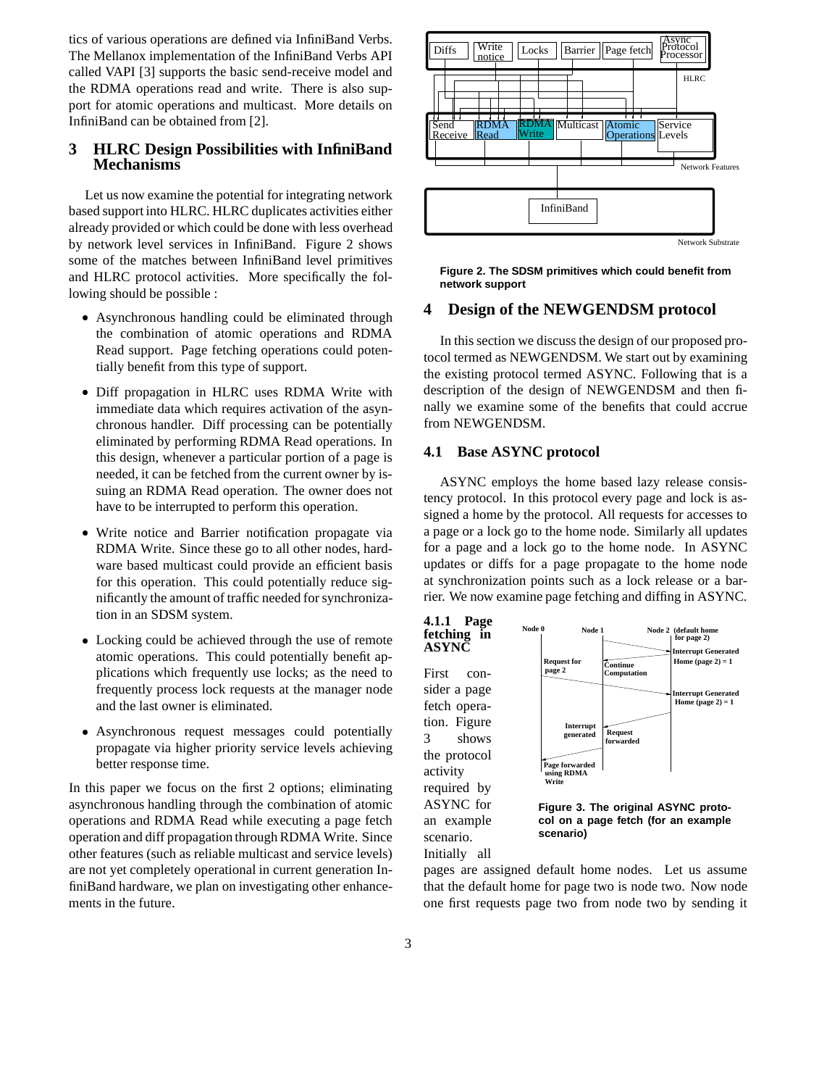tics of various operations are defined via InfiniBand Verbs. The Mellanox implementation of the InfiniBand Verbs API called VAPI [3] supports the basic send-receive model and the RDMA operations read and write. There is also support for atomic operations and multicast. More details on InfiniBand can be obtained from [2].

# **3 HLRC Design Possibilities with InfiniBand Mechanisms**

Let us now examine the potential for integrating network based support into HLRC. HLRC duplicates activities either already provided or which could be done with less overhead by network level services in InfiniBand. Figure 2 shows some of the matches between InfiniBand level primitives and HLRC protocol activities. More specifically the following should be possible :

- Asynchronous handling could be eliminated through the combination of atomic operations and RDMA Read support. Page fetching operations could potentially benefit from this type of support.
- Diff propagation in HLRC uses RDMA Write with immediate data which requires activation of the asynchronous handler. Diff processing can be potentially eliminated by performing RDMA Read operations. In this design, whenever a particular portion of a page is needed, it can be fetched from the current owner by issuing an RDMA Read operation. The owner does not have to be interrupted to perform this operation.
- Write notice and Barrier notification propagate via RDMA Write. Since these go to all other nodes, hardware based multicast could provide an efficient basis for this operation. This could potentially reduce significantly the amount of traffic needed for synchronization in an SDSM system.
- Locking could be achieved through the use of remote atomic operations. This could potentially benefit applications which frequently use locks; as the need to frequently process lock requests at the manager node and the last owner is eliminated.
- Asynchronous request messages could potentially propagate via higher priority service levels achieving better response time.

In this paper we focus on the first 2 options; eliminating asynchronous handling through the combination of atomic operations and RDMA Read while executing a page fetch operation and diff propagation throughRDMA Write. Since other features (such as reliable multicast and service levels) are not yet completely operational in current generation InfiniBand hardware, we plan on investigating other enhancements in the future.



**Figure 2. The SDSM primitives which could benefit from network support**

## **4 Design of the NEWGENDSM protocol**

In this section we discuss the design of our proposed protocol termed as NEWGENDSM. We start out by examining the existing protocol termed ASYNC. Following that is a description of the design of NEWGENDSM and then finally we examine some of the benefits that could accrue from NEWGENDSM.

### **4.1 Base ASYNC protocol**

ASYNC employs the home based lazy release consistency protocol. In this protocol every page and lock is assigned a home by the protocol. All requests for accesses to a page or a lock go to the home node. Similarly all updates for a page and a lock go to the home node. In ASYNC updates or diffs for a page propagate to the home node at synchronization points such as a lock release or a barrier. We now examine page fetching and diffing in ASYNC.



**col on a page fetch (for an example scenario)**

pages are assigned default home nodes. Let us assume that the default home for page two is node two. Now node one first requests page two from node two by sending it

scenario. Initially all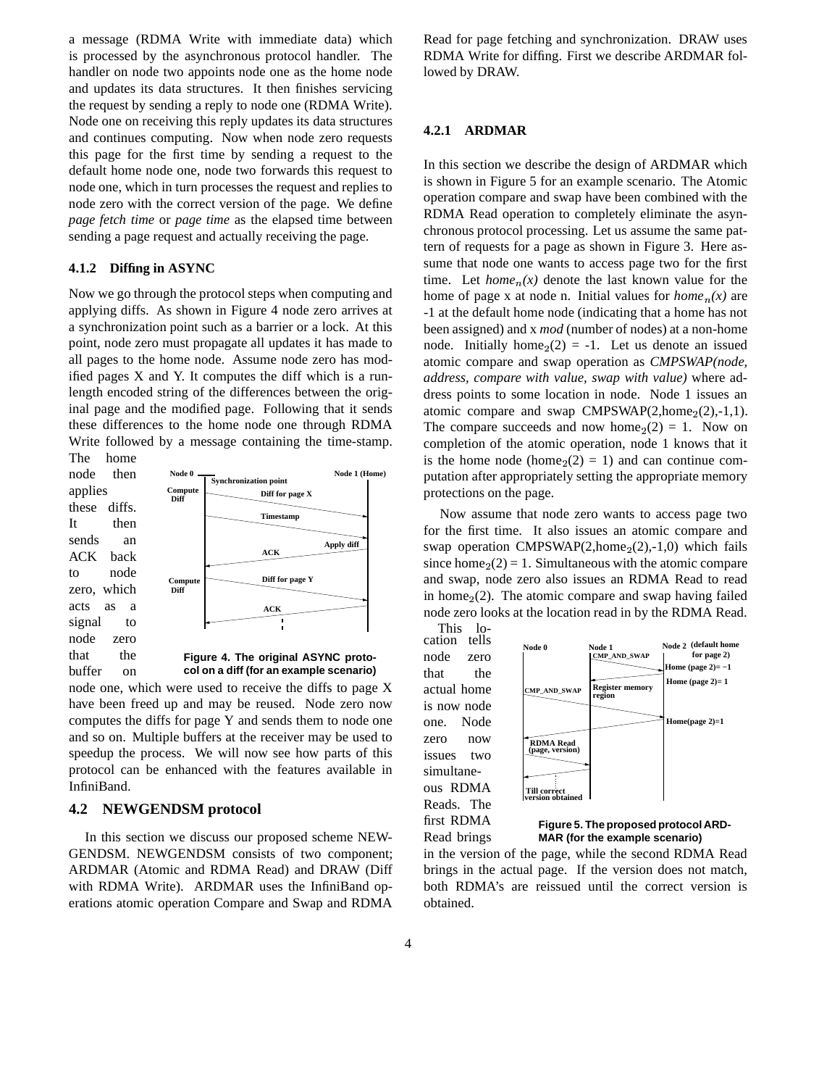a message (RDMA Write with immediate data) which is processed by the asynchronous protocol handler. The handler on node two appoints node one as the home node and updates its data structures. It then finishes servicing the request by sending a reply to node one (RDMA Write). Node one on receiving this reply updates its data structures and continues computing. Now when node zero requests this page for the first time by sending a request to the default home node one, node two forwards this request to node one, which in turn processes the request and replies to node zero with the correct version of the page. We define *page fetch time* or *page time* as the elapsed time between sending a page request and actually receiving the page.

# **4.1.2 Diffing in ASYNC**

Now we go through the protocol steps when computing and applying diffs. As shown in Figure 4 node zero arrives at a synchronization point such as a barrier or a lock. At this point, node zero must propagate all updates it has made to all pages to the home node. Assume node zero has modified pages X and Y. It computes the diff which is a runlength encoded string of the differences between the original page and the modified page. Following that it sends these differences to the home node one through RDMA Write followed by a message containing the time-stamp.



node one, which were used to receive the diffs to page X have been freed up and may be reused. Node zero now computes the diffs for page Y and sends them to node one and so on. Multiple buffers at the receiver may be used to speedup the process. We will now see how parts of this protocol can be enhanced with the features available in InfiniBand.

#### **4.2 NEWGENDSM protocol**

In this section we discuss our proposed scheme NEW-GENDSM. NEWGENDSM consists of two component; ARDMAR (Atomic and RDMA Read) and DRAW (Diff with RDMA Write). ARDMAR uses the InfiniBand operations atomic operation Compare and Swap and RDMA

Read for page fetching and synchronization. DRAW uses RDMA Write for diffing. First we describe ARDMAR followed by DRAW.

#### **4.2.1 ARDMAR**

In this section we describe the design of ARDMAR which is shown in Figure 5 for an example scenario. The Atomic operation compare and swap have been combined with the RDMA Read operation to completely eliminate the asynchronous protocol processing. Let us assume the same pattern of requests for a page as shown in Figure 3. Here assume that node one wants to access page two for the first time. Let  $home_n(x)$  denote the last known value for the home of page x at node n. Initial values for  $home_n(x)$  are -1 at the default home node (indicating that a home has not been assigned) and x *mod* (number of nodes) at a non-home node. Initially home<sub>2</sub>(2) = -1. Let us denote an issued atomic compare and swap operation as *CMPSWAP(node, address, compare with value, swap with value)* where address points to some location in node. Node 1 issues an atomic compare and swap  $CMPSWAP(2,home_2(2),-1,1).$ The compare succeeds and now home<sub>2</sub> $(2) = 1$ . Now on completion of the atomic operation, node 1 knows that it is the home node (home<sub>2</sub>(2) = 1) and can continue computation after appropriately setting the appropriate memory protections on the page.

Now assume that node zero wants to access page two for the first time. It also issues an atomic compare and swap operation CMPSWAP $(2, home_2(2), -1, 0)$  which fails since home  $_2(2) = 1$ . Simultaneous with the atomic compare and swap, node zero also issues an RDMA Read to read in home $<sub>2</sub>(2)$ . The atomic compare and swap having failed</sub> node zero looks at the location read in by the RDMA Read.



**Figure 5. The proposed protocol ARD-MAR (for the example scenario)**

in the version of the page, while the second RDMA Read brings in the actual page. If the version does not match, both RDMA's are reissued until the correct version is obtained.

Read brings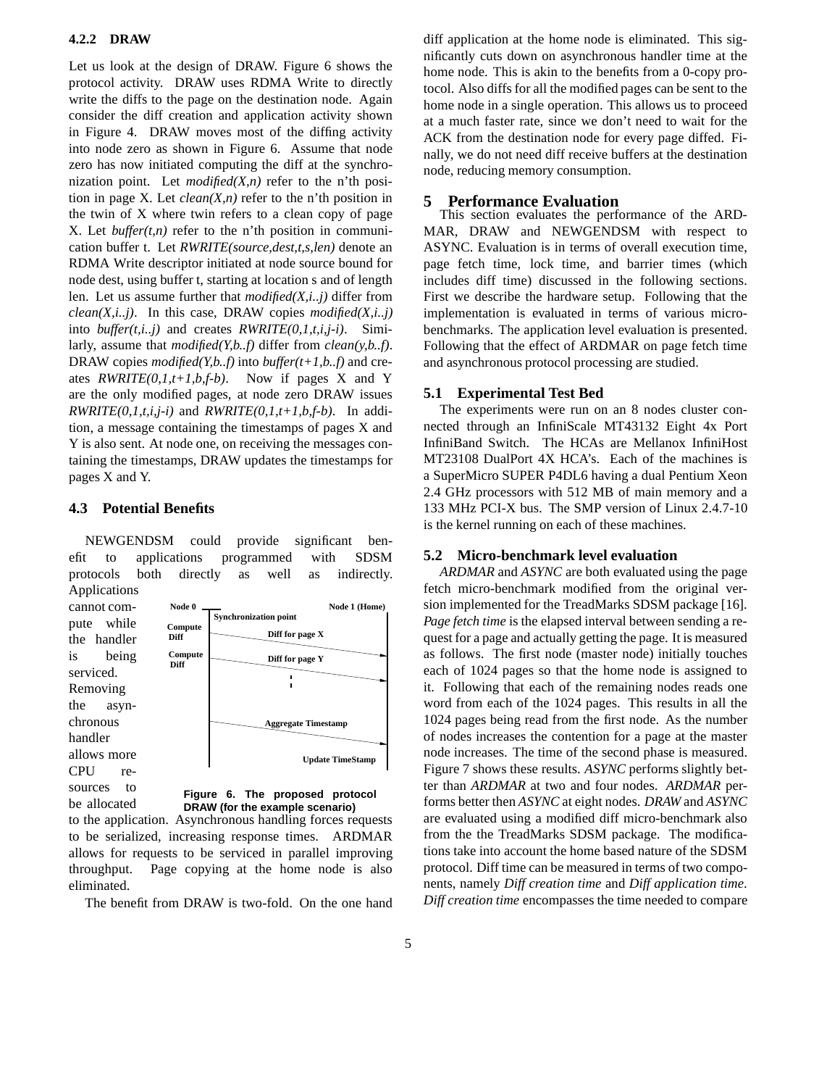#### **4.2.2 DRAW**

Let us look at the design of DRAW. Figure 6 shows the protocol activity. DRAW uses RDMA Write to directly write the diffs to the page on the destination node. Again consider the diff creation and application activity shown in Figure 4. DRAW moves most of the diffing activity into node zero as shown in Figure 6. Assume that node zero has now initiated computing the diff at the synchronization point. Let *modified(X,n)* refer to the n'th position in page X. Let *clean(X,n)* refer to the n'th position in the twin of X where twin refers to a clean copy of page X. Let *buffer(t,n)* refer to the n'th position in communication buffer t. Let *RWRITE(source,dest,t,s,len)* denote an RDMA Write descriptor initiated at node source bound for node dest, using buffer t, starting at location s and of length len. Let us assume further that *modified(X,i..j)* differ from *clean(X,i..j)*. In this case, DRAW copies *modified(X,i..j)* into *buffer(t,i..j)* and creates *RWRITE(0,1,t,i,j-i)*. Similarly, assume that *modified(Y,b..f)* differ from *clean(y,b..f)*. DRAW copies *modified(Y,b..f)* into *buffer(t+1,b..f)* and creates *RWRITE(0,1,t+1,b,f-b)*. Now if pages X and Y are the only modified pages, at node zero DRAW issues *RWRITE(0,1,t,i,j-i)* and *RWRITE(0,1,t+1,b,f-b)*. In addition, a message containing the timestamps of pages X and Y is also sent. At node one, on receiving the messages containing the timestamps, DRAW updates the timestamps for pages X and Y.

# **4.3 Potential Benefits**

NEWGENDSM could provide significant benefit to applications programmed with SDSM protocols both directly as well as indirectly. Applications



**DRAW (for the example scenario)** be allocated to the application. Asynchronous handling forces requests to be serialized, increasing response times. ARDMAR allows for requests to be serviced in parallel improving throughput. Page copying at the home node is also eliminated.

The benefit from DRAW is two-fold. On the one hand

diff application at the home node is eliminated. This significantly cuts down on asynchronous handler time at the home node. This is akin to the benefits from a 0-copy protocol. Also diffs for all the modified pages can be sent to the home node in a single operation. This allows us to proceed at a much faster rate, since we don't need to wait for the ACK from the destination node for every page diffed. Finally, we do not need diff receive buffers at the destination node, reducing memory consumption.

#### **5 Performance Evaluation**

This section evaluates the performance of the ARD-MAR, DRAW and NEWGENDSM with respect to ASYNC. Evaluation is in terms of overall execution time, page fetch time, lock time, and barrier times (which includes diff time) discussed in the following sections. First we describe the hardware setup. Following that the implementation is evaluated in terms of various microbenchmarks. The application level evaluation is presented. Following that the effect of ARDMAR on page fetch time and asynchronous protocol processing are studied.

### **5.1 Experimental Test Bed**

The experiments were run on an 8 nodes cluster connected through an InfiniScale MT43132 Eight 4x Port InfiniBand Switch. The HCAs are Mellanox InfiniHost MT23108 DualPort 4X HCA's. Each of the machines is a SuperMicro SUPER P4DL6 having a dual Pentium Xeon 2.4 GHz processors with 512 MB of main memory and a 133 MHz PCI-X bus. The SMP version of Linux 2.4.7-10 is the kernel running on each of these machines.

#### **5.2 Micro-benchmark level evaluation**

*ARDMAR* and *ASYNC* are both evaluated using the page fetch micro-benchmark modified from the original version implemented for the TreadMarks SDSM package [16]. *Page fetch time* is the elapsed interval between sending a request for a page and actually getting the page. It is measured as follows. The first node (master node) initially touches each of 1024 pages so that the home node is assigned to it. Following that each of the remaining nodes reads one word from each of the 1024 pages. This results in all the 1024 pages being read from the first node. As the number of nodes increases the contention for a page at the master node increases. The time of the second phase is measured. Figure 7 shows these results. *ASYNC* performs slightly better than *ARDMAR* at two and four nodes. *ARDMAR* performs better then *ASYNC* at eight nodes. *DRAW* and *ASYNC* are evaluated using a modified diff micro-benchmark also from the the TreadMarks SDSM package. The modifications take into account the home based nature of the SDSM protocol. Diff time can be measured in terms of two components, namely *Diff creation time* and *Diff application time*. *Diff creation time* encompasses the time needed to compare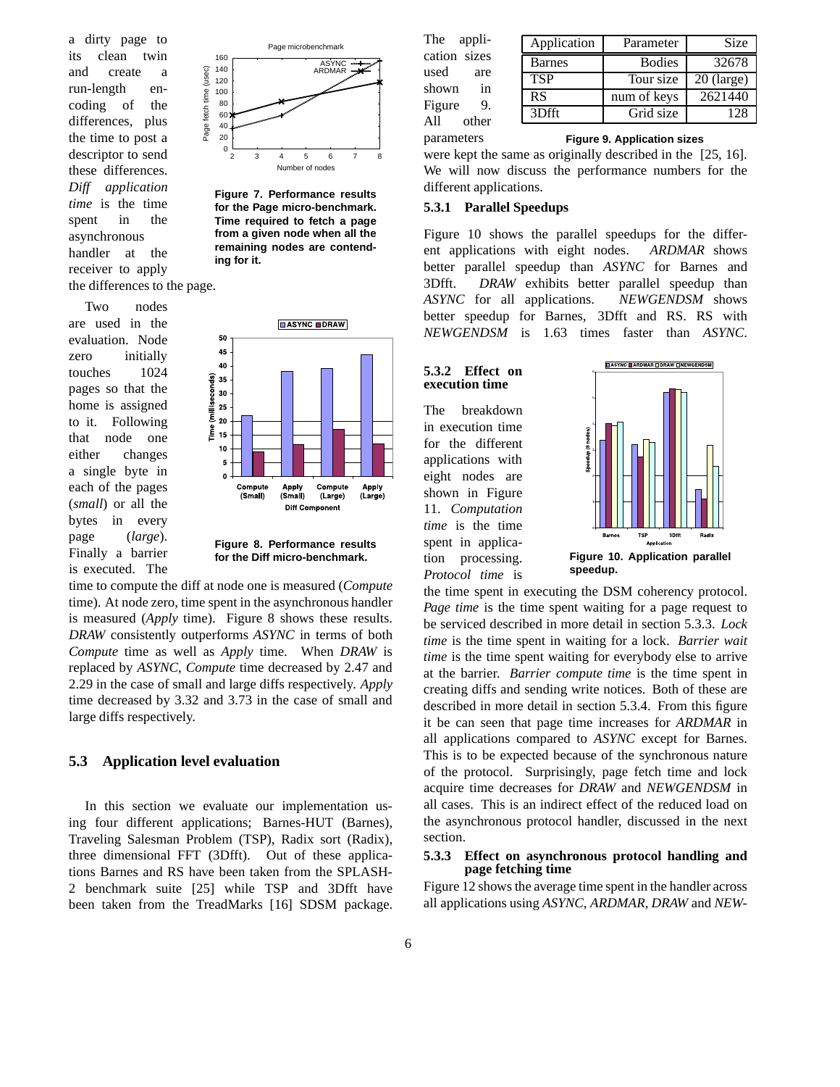a dirty page to its clean twin and create a run-length encoding of the differences, plus the time to post a descriptor to send these differences. *Diff application time* is the time spent in the asynchronous handler at the receiver to apply the differences to the page.

Two nodes are used in the evaluation. Node zero initially touches 1024 pages so that the home is assigned to it. Following that node one either changes a single byte in each of the pages (*small*) or all the bytes in every page (*large*). Finally a barrier is executed. The



**Figure 7. Performance results for the Page micro-benchmark. Time required to fetch a page from a given node when all the remaining nodes are contending for it.**



**Figure 8. Performance results for the Diff micro-benchmark.**

time to compute the diff at node one is measured (*Compute* time). At node zero, time spent in the asynchronous handler is measured (*Apply* time). Figure 8 shows these results. *DRAW* consistently outperforms *ASYNC* in terms of both *Compute* time as well as *Apply* time. When *DRAW* is replaced by *ASYNC*, *Compute* time decreased by 2.47 and 2.29 in the case of small and large diffs respectively. *Apply* time decreased by 3.32 and 3.73 in the case of small and large diffs respectively.

# **5.3 Application level evaluation**

In this section we evaluate our implementation using four different applications; Barnes-HUT (Barnes), Traveling Salesman Problem (TSP), Radix sort (Radix), three dimensional FFT (3Dfft). Out of these applications Barnes and RS have been taken from the SPLASH-2 benchmark suite [25] while TSP and 3Dfft have been taken from the TreadMarks [16] SDSM package.

| The<br>appli-<br>Application             | Parameter     | <b>Size</b>  |
|------------------------------------------|---------------|--------------|
| cation sizes<br><b>Barnes</b>            | <b>Bodies</b> | 32678        |
| used<br>are<br><b>TSP</b><br>shown<br>in | Tour size     | $20$ (large) |
| RS<br>Figure<br>9.                       | num of keys   | 2621440      |
| 3Dfft<br>A11<br>other                    | Grid size     | 128          |

**Figure 9. Application sizes**

were kept the same as originally described in the [25, 16]. We will now discuss the performance numbers for the different applications.

### **5.3.1 Parallel Speedups**

All parameters

Figure 10 shows the parallel speedups for the different applications with eight nodes. *ARDMAR* shows better parallel speedup than *ASYNC* for Barnes and 3Dfft. *DRAW* exhibits better parallel speedup than *ASYNC* for all applications. *NEWGENDSM* shows better speedup for Barnes, 3Dfft and RS. RS with *NEWGENDSM* is 1.63 times faster than *ASYNC*.



The breakdown in execution time for the different applications with eight nodes are shown in Figure 11. *Computation time* is the time spent in application processing. *Protocol time* is



**Figure 10. Application parallel speedup.**

the time spent in executing the DSM coherency protocol. *Page time* is the time spent waiting for a page request to be serviced described in more detail in section 5.3.3. *Lock time* is the time spent in waiting for a lock. *Barrier wait time* is the time spent waiting for everybody else to arrive at the barrier. *Barrier compute time* is the time spent in creating diffs and sending write notices. Both of these are described in more detail in section 5.3.4. From this figure it be can seen that page time increases for *ARDMAR* in all applications compared to *ASYNC* except for Barnes. This is to be expected because of the synchronous nature of the protocol. Surprisingly, page fetch time and lock acquire time decreases for *DRAW* and *NEWGENDSM* in all cases. This is an indirect effect of the reduced load on the asynchronous protocol handler, discussed in the next section.

#### **5.3.3 Effect on asynchronous protocol handling and page fetching time**

Figure 12 shows the average time spent in the handler across all applications using *ASYNC*, *ARDMAR*, *DRAW* and *NEW-*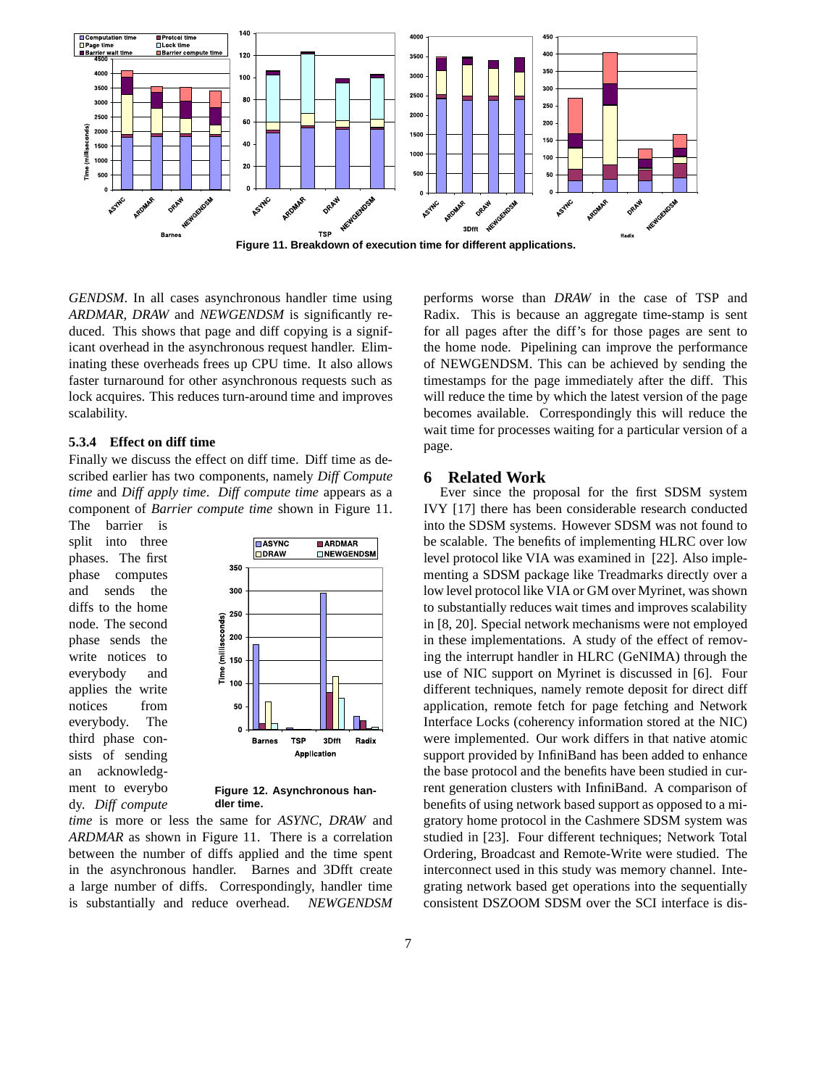

*GENDSM*. In all cases asynchronous handler time using *ARDMAR*, *DRAW* and *NEWGENDSM* is significantly reduced. This shows that page and diff copying is a significant overhead in the asynchronous request handler. Eliminating these overheads frees up CPU time. It also allows faster turnaround for other asynchronous requests such as lock acquires. This reduces turn-around time and improves scalability.

#### **5.3.4 Effect on diff time**

Finally we discuss the effect on diff time. Diff time as described earlier has two components, namely *Diff Compute time* and *Diff apply time*. *Diff compute time* appears as a component of *Barrier compute time* shown in Figure 11.

The barrier is split into three phases. The first phase computes and sends the diffs to the home node. The second phase sends the write notices to everybody and applies the write notices from everybody. The third phase consists of sending an acknowledgment to everybo dy. *Diff compute*



**Figure 12. Asynchronous handler time.**

*time* is more or less the same for *ASYNC*, *DRAW* and *ARDMAR* as shown in Figure 11. There is a correlation between the number of diffs applied and the time spent in the asynchronous handler. Barnes and 3Dfft create a large number of diffs. Correspondingly, handler time is substantially and reduce overhead. *NEWGENDSM* performs worse than *DRAW* in the case of TSP and Radix. This is because an aggregate time-stamp is sent for all pages after the diff's for those pages are sent to the home node. Pipelining can improve the performance of NEWGENDSM. This can be achieved by sending the timestamps for the page immediately after the diff. This will reduce the time by which the latest version of the page becomes available. Correspondingly this will reduce the wait time for processes waiting for a particular version of a page.

#### **6 Related Work**

Ever since the proposal for the first SDSM system IVY [17] there has been considerable research conducted into the SDSM systems. However SDSM was not found to be scalable. The benefits of implementing HLRC over low level protocol like VIA was examined in [22]. Also implementing a SDSM package like Treadmarks directly over a low level protocol like VIA or GM over Myrinet, was shown to substantially reduces wait times and improves scalability in [8, 20]. Special network mechanisms were not employed in these implementations. A study of the effect of removing the interrupt handler in HLRC (GeNIMA) through the use of NIC support on Myrinet is discussed in [6]. Four different techniques, namely remote deposit for direct diff application, remote fetch for page fetching and Network Interface Locks (coherency information stored at the NIC) were implemented. Our work differs in that native atomic support provided by InfiniBand has been added to enhance the base protocol and the benefits have been studied in current generation clusters with InfiniBand. A comparison of benefits of using network based support as opposed to a migratory home protocol in the Cashmere SDSM system was studied in [23]. Four different techniques; Network Total Ordering, Broadcast and Remote-Write were studied. The interconnect used in this study was memory channel. Integrating network based get operations into the sequentially consistent DSZOOM SDSM over the SCI interface is dis-